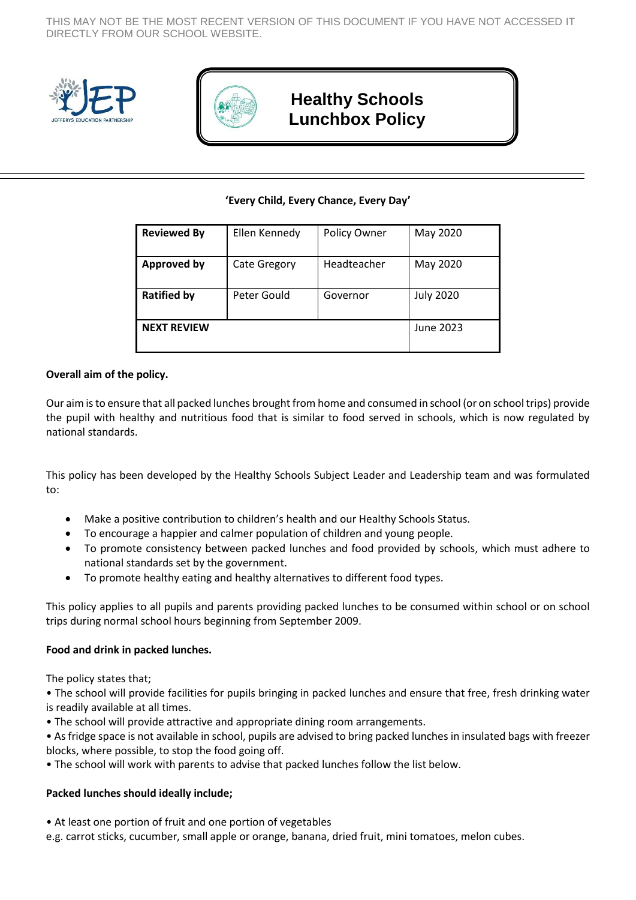THIS MAY NOT BE THE MOST RECENT VERSION OF THIS DOCUMENT IF YOU HAVE NOT ACCESSED IT DIRECTLY FROM OUR SCHOOL WEBSITE.





# **Healthy Schools Lunchbox Policy**

## **'Every Child, Every Chance, Every Day'**

| <b>Reviewed By</b> | Ellen Kennedy       | Policy Owner | May 2020         |
|--------------------|---------------------|--------------|------------------|
| <b>Approved by</b> | <b>Cate Gregory</b> | Headteacher  | May 2020         |
| <b>Ratified by</b> | Peter Gould         | Governor     | <b>July 2020</b> |
| <b>NEXT REVIEW</b> |                     |              | June 2023        |

## **Overall aim of the policy.**

Our aim is to ensure that all packed lunches brought from home and consumed in school (or on school trips) provide the pupil with healthy and nutritious food that is similar to food served in schools, which is now regulated by national standards.

This policy has been developed by the Healthy Schools Subject Leader and Leadership team and was formulated to:

- Make a positive contribution to children's health and our Healthy Schools Status.
- To encourage a happier and calmer population of children and young people.
- To promote consistency between packed lunches and food provided by schools, which must adhere to national standards set by the government.
- To promote healthy eating and healthy alternatives to different food types.

This policy applies to all pupils and parents providing packed lunches to be consumed within school or on school trips during normal school hours beginning from September 2009.

#### **Food and drink in packed lunches.**

The policy states that;

• The school will provide facilities for pupils bringing in packed lunches and ensure that free, fresh drinking water is readily available at all times.

• The school will provide attractive and appropriate dining room arrangements.

• As fridge space is not available in school, pupils are advised to bring packed lunches in insulated bags with freezer blocks, where possible, to stop the food going off.

• The school will work with parents to advise that packed lunches follow the list below.

## **Packed lunches should ideally include;**

- At least one portion of fruit and one portion of vegetables
- e.g. carrot sticks, cucumber, small apple or orange, banana, dried fruit, mini tomatoes, melon cubes.